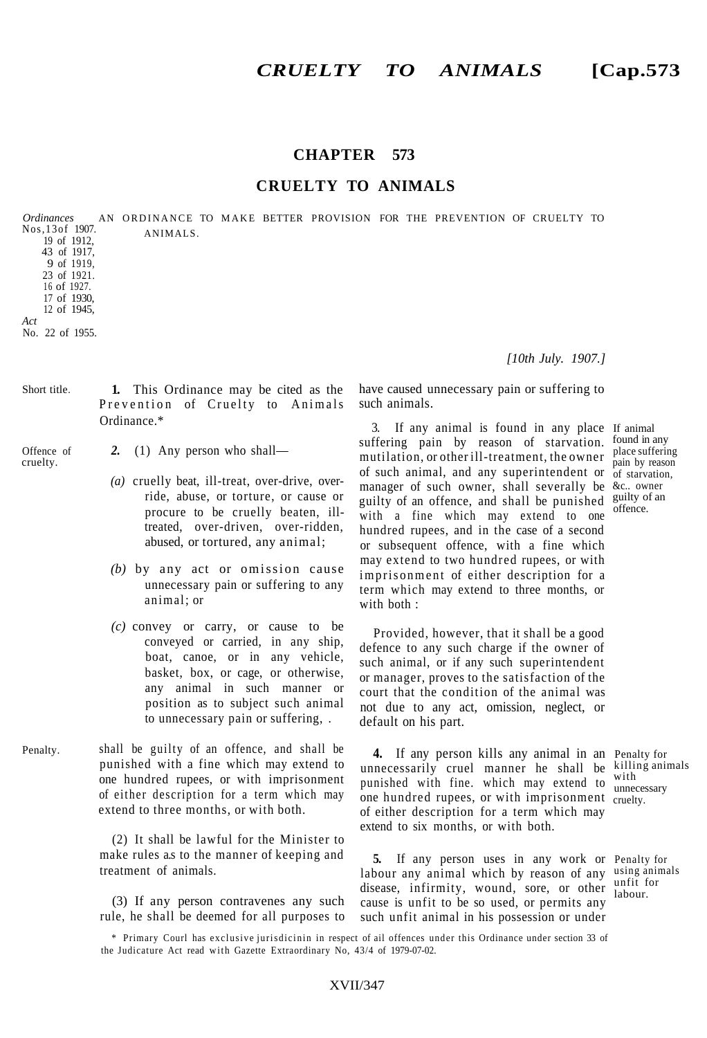## **CHAPTER 573**

## **CRUELTY TO ANIMALS**

AN ORDINANCE TO MAKE BETTER PROVISION FOR THE PREVENTION OF CRUELTY TO ANIMALS. *Ordinances* Nos,13of 1907. 19 of 1912, 43 of 1917, 9 of 1919, 23 of 1921. 16 of 1927. 17 of 1930, 12 of 1945, *Act* No. 22 of 1955.

**1.** This Ordinance may be cited as the Prevention of Cruelty to Animals Ordinance.\* Short title.

- Offence of cruelty.
- *2.* (1) Any person who shall—
	- *(a)* cruelly beat, ill-treat, over-drive, override, abuse, or torture, or cause or procure to be cruelly beaten, illtreated, over-driven, over-ridden, abused, or tortured, any animal;
	- *(b)* by any act or omission cause unnecessary pain or suffering to any animal; or
	- *(c)* convey or carry, or cause to be conveyed or carried, in any ship, boat, canoe, or in any vehicle, basket, box, or cage, or otherwise, any animal in such manner or position as to subject such animal to unnecessary pain or suffering, .
- shall be guilty of an offence, and shall be punished with a fine which may extend to one hundred rupees, or with imprisonment of either description for a term which may extend to three months, or with both. Penalty.

(2) It shall be lawful for the Minister to make rules a.s to the manner of keeping and treatment of animals.

(3) If any person contravenes any such rule, he shall be deemed for all purposes to have caused unnecessary pain or suffering to such animals.

3. If any animal is found in any place If animal suffering pain by reason of starvation. mutilation, or other ill-treatment, the owner place suffering of such animal, and any superintendent or of starvation, manager of such owner, shall severally be &c.. owner guilty of an offence, and shall be punished  $\frac{g_{\text{u}}}{g_{\text{f}}^2}$  and with a fine which may extend to one hundred rupees, and in the case of a second or subsequent offence, with a fine which may extend to two hundred rupees, or with imprisonment of either description for a term which may extend to three months, or with both : found in any

Provided, however, that it shall be a good defence to any such charge if the owner of such animal, or if any such superintendent or manager, proves to the satisfaction of the court that the condition of the animal was not due to any act, omission, neglect, or default on his part.

**4.** If any person kills any animal in an Penalty for unnecessarily cruel manner he shall be killing animals punished with fine. which may extend to one hundred rupees, or with imprisonment cruelty. of either description for a term which may extend to six months, or with both.

with unnecessary

pain by reason

offence.

**5.** If any person uses in any work or Penalty for labour any animal which by reason of any using animals disease, infirmity, wound, sore, or other labour cause is unfit to be so used, or permits any such unfit animal in his possession or under

labour.

\* Primary Courl has exclusive jurisdicinin in respect of ail offences under this Ordinance under section 33 of the Judicature Act read with Gazette Extraordinary No, 43/4 of 1979-07-02.

*[10th July. 1907.]*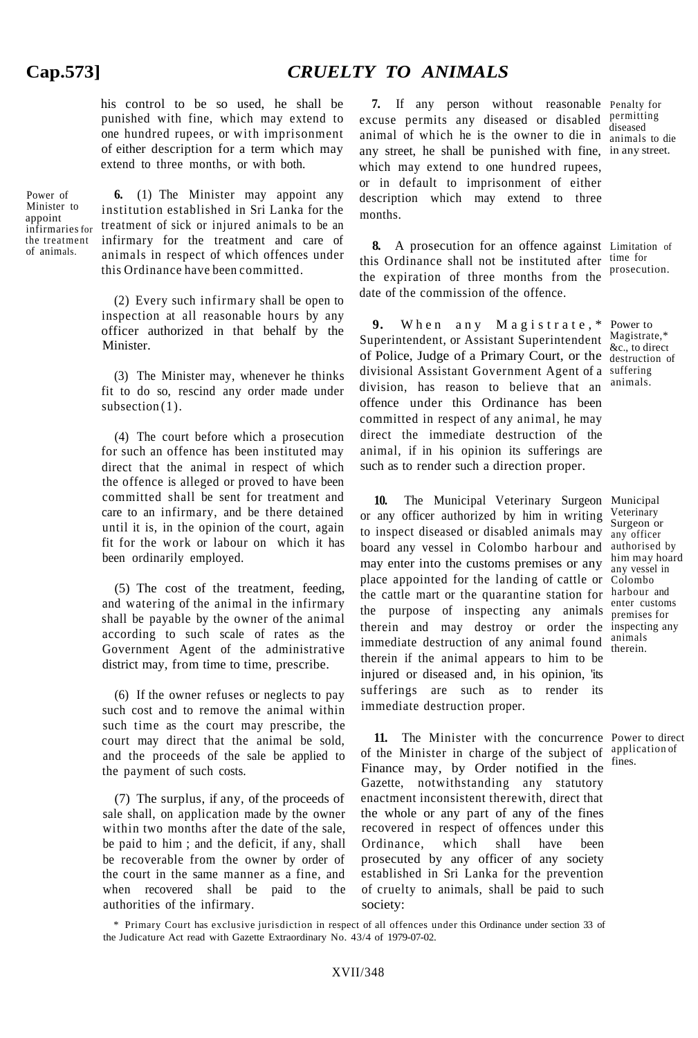his control to be so used, he shall be punished with fine, which may extend to one hundred rupees, or with imprisonment of either description for a term which may extend to three months, or with both.

Power of Minister to appoint infirmaries for the treatment of animals.

**6.** (1) The Minister may appoint any institution established in Sri Lanka for the treatment of sick or injured animals to be an infirmary for the treatment and care of animals in respect of which offences under this Ordinance have been committed.

(2) Every such infirmary shall be open to inspection at all reasonable hours by any officer authorized in that behalf by the Minister.

(3) The Minister may, whenever he thinks fit to do so, rescind any order made under subsection  $(1)$ .

(4) The court before which a prosecution for such an offence has been instituted may direct that the animal in respect of which the offence is alleged or proved to have been committed shall be sent for treatment and care to an infirmary, and be there detained until it is, in the opinion of the court, again fit for the work or labour on which it has been ordinarily employed.

(5) The cost of the treatment, feeding, and watering of the animal in the infirmary shall be payable by the owner of the animal according to such scale of rates as the Government Agent of the administrative district may, from time to time, prescribe.

(6) If the owner refuses or neglects to pay such cost and to remove the animal within such time as the court may prescribe, the court may direct that the animal be sold, and the proceeds of the sale be applied to the payment of such costs.

(7) The surplus, if any, of the proceeds of sale shall, on application made by the owner within two months after the date of the sale, be paid to him ; and the deficit, if any, shall be recoverable from the owner by order of the court in the same manner as a fine, and when recovered shall be paid to the authorities of the infirmary.

**7.** If any person without reasonable Penalty for excuse permits any diseased or disabled permitting animal of which he is the owner to die in animals to die any street, he shall be punished with fine, in any street. which may extend to one hundred rupees, or in default to imprisonment of either description which may extend to three months.

**8.** A prosecution for an offence against Limitation of this Ordinance shall not be instituted after time for the expiration of three months from the prosecution. date of the commission of the offence.

**9.** When any Magistrate, \* Power to Superintendent, or Assistant Superintendent Magistrate,\* of Police, Judge of a Primary Court, or the destruction of divisional Assistant Government Agent of a suffering division, has reason to believe that an offence under this Ordinance has been committed in respect of any animal, he may direct the immediate destruction of the animal, if in his opinion its sufferings are such as to render such a direction proper.

diseased

&c., to direct animals.

Surgeon or

premises for

therein.

**10.** The Municipal Veterinary Surgeon Municipal or any officer authorized by him in writing Veterinary to inspect diseased or disabled animals may board any vessel in Colombo harbour and may enter into the customs premises or any place appointed for the landing of cattle or Colombo the cattle mart or the quarantine station for harbour and the purpose of inspecting any animals premises for therein and may destroy or order the inspecting any immediate destruction of any animal found therein if the animal appears to him to be injured or diseased and, in his opinion, 'its sufferings are such as to render its immediate destruction proper. any officer authorised by him may hoard any vessel in animals

**11.** The Minister with the concurrence Power to direct of the Minister in charge of the subject of Finance may, by Order notified in the Gazette, notwithstanding any statutory enactment inconsistent therewith, direct that the whole or any part of any of the fines recovered in respect of offences under this Ordinance, which shall have been prosecuted by any officer of any society established in Sri Lanka for the prevention of cruelty to animals, shall be paid to such society: application of fines.

<sup>\*</sup> Primary Court has exclusive jurisdiction in respect of all offences under this Ordinance under section 33 of the Judicature Act read with Gazette Extraordinary No. 43/4 of 1979-07-02.